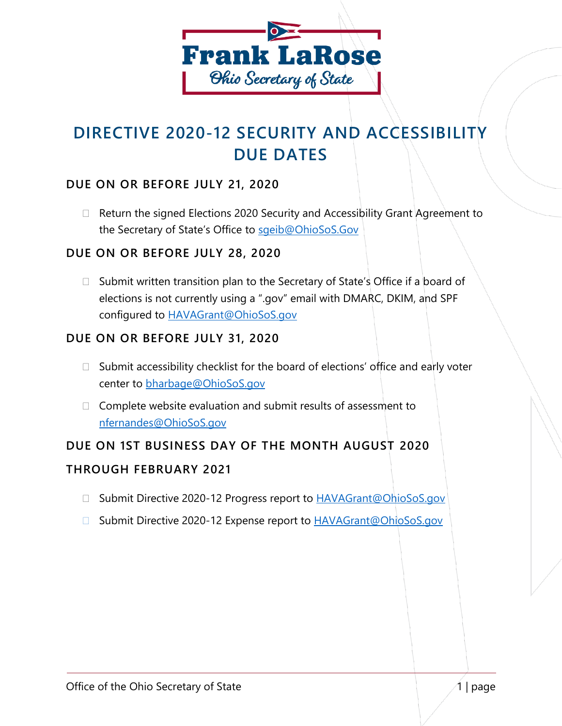

# **DIRECTIVE 2020-12 SECURITY AND ACCESSIBILITY DUE DATES**

# **DUE ON OR BEFORE JULY 21, 2020**

 $\Box$  Return the signed Elections 2020 Security and Accessibility Grant Agreement to the Secretary of State's Office to sgeib@OhioSoS.Gov

### **DUE ON OR BEFORE JULY 28, 2020**

 $\Box$  Submit written transition plan to the Secretary of State's Office if a board of elections is not currently using a ".gov" email with DMARC, DKIM, and SPF configured to [HAVAGrant@OhioSoS.gov](mailto:HAVAGrant@OhioSoS.gov)

### **DUE ON OR BEFORE JULY 31, 2020**

- $\Box$  Submit accessibility checklist for the board of elections' office and early voter center to [bharbage@OhioSoS.gov](mailto:bharbage@OhioSoS.gov)
- $\Box$  Complete website evaluation and submit results of assessment to [nfernandes@OhioSoS.gov](mailto:nfernandes@OhioSoS.gov)

# **DUE ON 1ST BUSINESS DAY OF THE MONTH AUGUST 2020**

#### **THROUGH FEBRUARY 2021**

- □ Submit Directive 2020-12 Progress report to [HAVAGrant@OhioSoS.gov](mailto:HAVAGrant@OhioSoS.gov)
- □ Submit Directive 2020-12 Expense report to **HAVAGrant@OhioSoS.gov**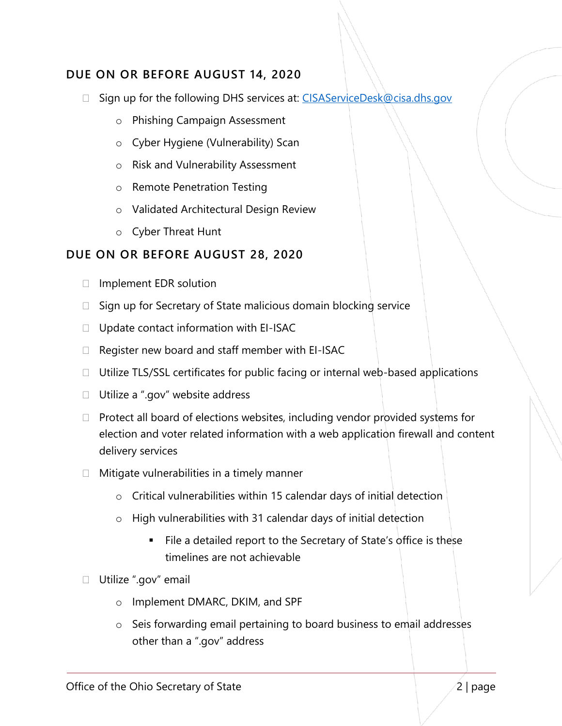# **DUE ON OR BEFORE AUGUST 14, 2020**

- □ Sign up for the following DHS services at: [CISAServiceDesk@cisa.dhs.gov](mailto:CISAServiceDesk@cisa.dhs.gov)
	- o Phishing Campaign Assessment
	- o Cyber Hygiene (Vulnerability) Scan
	- o Risk and Vulnerability Assessment
	- o Remote Penetration Testing
	- o Validated Architectural Design Review
	- o Cyber Threat Hunt

### **DUE ON OR BEFORE AUGUST 28, 2020**

- $\Box$  Implement EDR solution
- $\Box$  Sign up for Secretary of State malicious domain blocking service
- $\Box$  Update contact information with EI-ISAC
- $\Box$  Register new board and staff member with EI-ISAC
- $\Box$  Utilize TLS/SSL certificates for public facing or internal web-based applications
- □ Utilize a ".gov" website address
- $\Box$  Protect all board of elections websites, including vendor provided systems for election and voter related information with a web application firewall and content delivery services
- $\Box$  Mitigate vulnerabilities in a timely manner
	- o Critical vulnerabilities within 15 calendar days of initial detection
	- o High vulnerabilities with 31 calendar days of initial detection
		- File a detailed report to the Secretary of State's office is these timelines are not achievable
- □ Utilize ".gov" email
	- o Implement DMARC, DKIM, and SPF
	- o Seis forwarding email pertaining to board business to email addresses other than a ".gov" address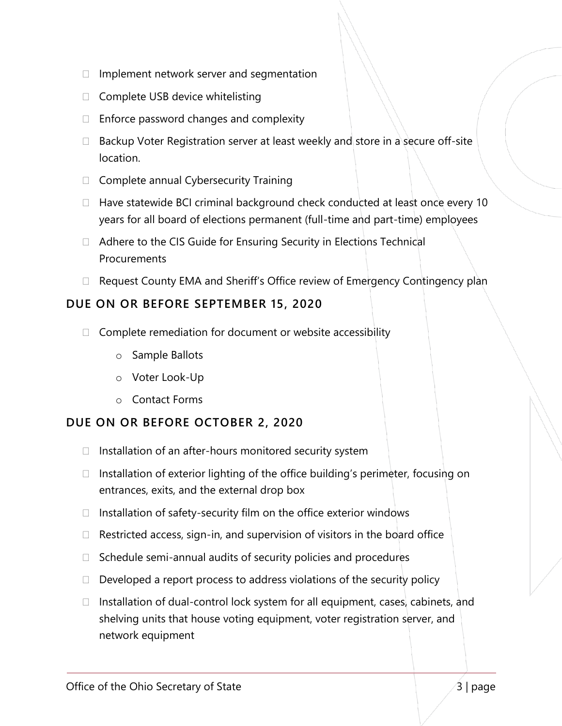- $\Box$  Implement network server and segmentation
- $\Box$  Complete USB device whitelisting
- $\Box$  Enforce password changes and complexity
- $\Box$  Backup Voter Registration server at least weekly and store in a secure off-site location.
- $\Box$  Complete annual Cybersecurity Training
- $\Box$  Have statewide BCI criminal background check conducted at least once every 10 years for all board of elections permanent (full-time and part-time) employees
- $\Box$  Adhere to the CIS Guide for Ensuring Security in Elections Technical **Procurements**
- $\Box$  Request County EMA and Sheriff's Office review of Emergency Contingency plan

# **DUE ON OR BEFORE SEPTEMBER 15, 2020**

- $\Box$  Complete remediation for document or website accessibility
	- o Sample Ballots
	- o Voter Look-Up
	- o Contact Forms

# **DUE ON OR BEFORE OCTOBER 2, 2020**

- $\Box$  Installation of an after-hours monitored security system
- $\Box$  Installation of exterior lighting of the office building's perimeter, focusing on entrances, exits, and the external drop box
- $\Box$  Installation of safety-security film on the office exterior windows
- $\Box$  Restricted access, sign-in, and supervision of visitors in the board office
- $\Box$  Schedule semi-annual audits of security policies and procedures
- $\Box$  Developed a report process to address violations of the security policy
- $\Box$  Installation of dual-control lock system for all equipment, cases, cabinets, and shelving units that house voting equipment, voter registration server, and network equipment